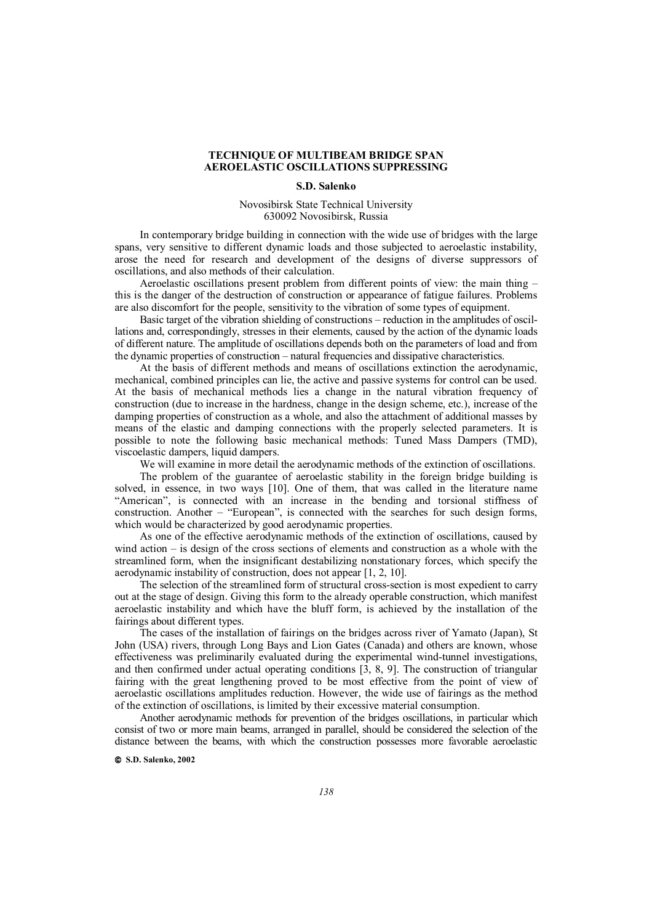## **TECHNIQUE OF MULTIBEAM BRIDGE SPAN AEROELASTIC OSCILLATIONS SUPPRESSING**

## **S.D. Salenko**

Novosibirsk State Technical University 630092 Novosibirsk, Russia

In contemporary bridge building in connection with the wide use of bridges with the large spans, very sensitive to different dynamic loads and those subjected to aeroelastic instability, arose the need for research and development of the designs of diverse suppressors of oscillations, and also methods of their calculation.

Aeroelastic oscillations present problem from different points of view: the main thing – this is the danger of the destruction of construction or appearance of fatigue failures. Problems are also discomfort for the people, sensitivity to the vibration of some types of equipment.

Basic target of the vibration shielding of constructions – reduction in the amplitudes of oscillations and, correspondingly, stresses in their elements, caused by the action of the dynamic loads of different nature. The amplitude of oscillations depends both on the parameters of load and from the dynamic properties of construction – natural frequencies and dissipative characteristics.

At the basis of different methods and means of oscillations extinction the aerodynamic, mechanical, combined principles can lie, the active and passive systems for control can be used. At the basis of mechanical methods lies a change in the natural vibration frequency of construction (due to increase in the hardness, change in the design scheme, etc.), increase of the damping properties of construction as a whole, and also the attachment of additional masses by means of the elastic and damping connections with the properly selected parameters. It is possible to note the following basic mechanical methods: Tuned Mass Dampers (TMD), viscoelastic dampers, liquid dampers.

We will examine in more detail the aerodynamic methods of the extinction of oscillations.

The problem of the guarantee of aeroelastic stability in the foreign bridge building is solved, in essence, in two ways [10]. One of them, that was called in the literature name "American", is connected with an increase in the bending and torsional stiffness of construction. Another – "European", is connected with the searches for such design forms, which would be characterized by good aerodynamic properties.

As one of the effective aerodynamic methods of the extinction of oscillations, caused by wind action – is design of the cross sections of elements and construction as a whole with the streamlined form, when the insignificant destabilizing nonstationary forces, which specify the aerodynamic instability of construction, does not appear [1, 2, 10].

The selection of the streamlined form of structural cross-section is most expedient to carry out at the stage of design. Giving this form to the already operable construction, which manifest aeroelastic instability and which have the bluff form, is achieved by the installation of the fairings about different types.

The cases of the installation of fairings on the bridges across river of Yamato (Japan), St John (USA) rivers, through Long Bays and Lion Gates (Canada) and others are known, whose effectiveness was preliminarily evaluated during the experimental wind-tunnel investigations, and then confirmed under actual operating conditions  $\begin{bmatrix} 3, 8, 9 \end{bmatrix}$ . The construction of triangular fairing with the great lengthening proved to be most effective from the point of view of aeroelastic oscillations amplitudes reduction. However, the wide use of fairings as the method of the extinction of oscillations, is limited by their excessive material consumption.

Another aerodynamic methods for prevention of the bridges oscillations, in particular which consist of two or more main beams, arranged in parallel, should be considered the selection of the distance between the beams, with which the construction possesses more favorable aeroelastic

 **S.D. Salenko, 2002**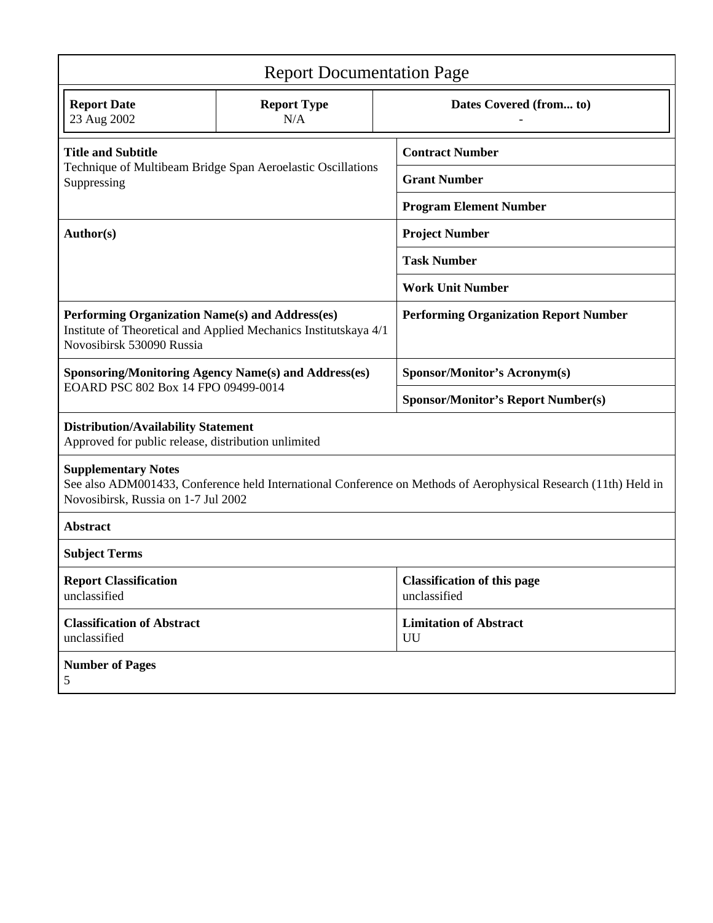| <b>Report Documentation Page</b>                                                                                                                                                     |                           |  |                                                    |  |
|--------------------------------------------------------------------------------------------------------------------------------------------------------------------------------------|---------------------------|--|----------------------------------------------------|--|
| <b>Report Date</b><br>23 Aug 2002                                                                                                                                                    | <b>Report Type</b><br>N/A |  | Dates Covered (from to)                            |  |
| <b>Title and Subtitle</b><br>Technique of Multibeam Bridge Span Aeroelastic Oscillations<br>Suppressing                                                                              |                           |  | <b>Contract Number</b>                             |  |
|                                                                                                                                                                                      |                           |  | <b>Grant Number</b>                                |  |
|                                                                                                                                                                                      |                           |  | <b>Program Element Number</b>                      |  |
| Author(s)                                                                                                                                                                            |                           |  | <b>Project Number</b>                              |  |
|                                                                                                                                                                                      |                           |  | <b>Task Number</b>                                 |  |
|                                                                                                                                                                                      |                           |  | <b>Work Unit Number</b>                            |  |
| Performing Organization Name(s) and Address(es)<br>Institute of Theoretical and Applied Mechanics Institutskaya 4/1<br>Novosibirsk 530090 Russia                                     |                           |  | <b>Performing Organization Report Number</b>       |  |
| <b>Sponsoring/Monitoring Agency Name(s) and Address(es)</b>                                                                                                                          |                           |  | <b>Sponsor/Monitor's Acronym(s)</b>                |  |
| EOARD PSC 802 Box 14 FPO 09499-0014                                                                                                                                                  |                           |  | <b>Sponsor/Monitor's Report Number(s)</b>          |  |
| <b>Distribution/Availability Statement</b><br>Approved for public release, distribution unlimited                                                                                    |                           |  |                                                    |  |
| <b>Supplementary Notes</b><br>See also ADM001433, Conference held International Conference on Methods of Aerophysical Research (11th) Held in<br>Novosibirsk, Russia on 1-7 Jul 2002 |                           |  |                                                    |  |
| <b>Abstract</b>                                                                                                                                                                      |                           |  |                                                    |  |
| <b>Subject Terms</b>                                                                                                                                                                 |                           |  |                                                    |  |
| <b>Report Classification</b><br>unclassified                                                                                                                                         |                           |  | <b>Classification of this page</b><br>unclassified |  |
| <b>Classification of Abstract</b><br>unclassified                                                                                                                                    |                           |  | <b>Limitation of Abstract</b><br>UU                |  |
| <b>Number of Pages</b><br>5                                                                                                                                                          |                           |  |                                                    |  |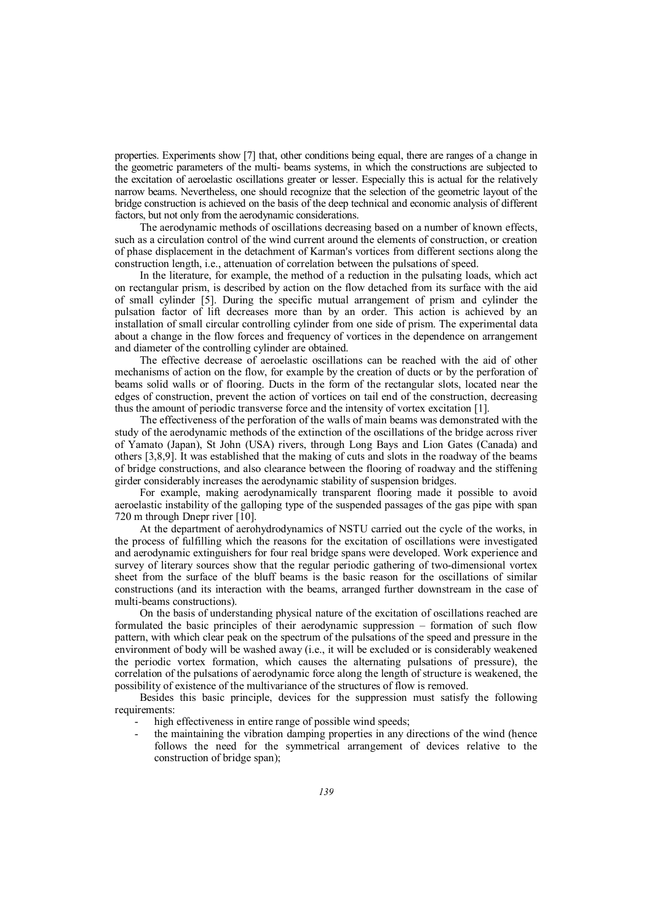properties. Experiments show [7] that, other conditions being equal, there are ranges of a change in the geometric parameters of the multi- beams systems, in which the constructions are subjected to the excitation of aeroelastic oscillations greater or lesser. Especially this is actual for the relatively narrow beams. Nevertheless, one should recognize that the selection of the geometric layout of the bridge construction is achieved on the basis of the deep technical and economic analysis of different factors, but not only from the aerodynamic considerations.

The aerodynamic methods of oscillations decreasing based on a number of known effects, such as a circulation control of the wind current around the elements of construction, or creation of phase displacement in the detachment of Karman's vortices from different sections along the construction length, i.e., attenuation of correlation between the pulsations of speed.

In the literature, for example, the method of a reduction in the pulsating loads, which act on rectangular prism, is described by action on the flow detached from its surface with the aid of small cylinder [5]. During the specific mutual arrangement of prism and cylinder the pulsation factor of lift decreases more than by an order. This action is achieved by an installation of small circular controlling cylinder from one side of prism. The experimental data about a change in the flow forces and frequency of vortices in the dependence on arrangement and diameter of the controlling cylinder are obtained.

The effective decrease of aeroelastic oscillations can be reached with the aid of other mechanisms of action on the flow, for example by the creation of ducts or by the perforation of beams solid walls or of flooring. Ducts in the form of the rectangular slots, located near the edges of construction, prevent the action of vortices on tail end of the construction, decreasing thus the amount of periodic transverse force and the intensity of vortex excitation [1].

The effectiveness of the perforation of the walls of main beams was demonstrated with the study of the aerodynamic methods of the extinction of the oscillations of the bridge across river of Yamato (Japan), St John (USA) rivers, through Long Bays and Lion Gates (Canada) and others [3,8,9]. It was established that the making of cuts and slots in the roadway of the beams of bridge constructions, and also clearance between the flooring of roadway and the stiffening girder considerably increases the aerodynamic stability of suspension bridges.

For example, making aerodynamically transparent flooring made it possible to avoid aeroelastic instability of the galloping type of the suspended passages of the gas pipe with span 720 m through Dnepr river [10].

At the department of aerohydrodynamics of NSTU carried out the cycle of the works, in the process of fulfilling which the reasons for the excitation of oscillations were investigated and aerodynamic extinguishers for four real bridge spans were developed. Work experience and survey of literary sources show that the regular periodic gathering of two-dimensional vortex sheet from the surface of the bluff beams is the basic reason for the oscillations of similar constructions (and its interaction with the beams, arranged further downstream in the case of multi-beams constructions).

On the basis of understanding physical nature of the excitation of oscillations reached are formulated the basic principles of their aerodynamic suppression – formation of such flow pattern, with which clear peak on the spectrum of the pulsations of the speed and pressure in the environment of body will be washed away (i.e., it will be excluded or is considerably weakened the periodic vortex formation, which causes the alternating pulsations of pressure), the correlation of the pulsations of aerodynamic force along the length of structure is weakened, the possibility of existence of the multivariance of the structures of flow is removed.

Besides this basic principle, devices for the suppression must satisfy the following requirements:

- high effectiveness in entire range of possible wind speeds;
- the maintaining the vibration damping properties in any directions of the wind (hence follows the need for the symmetrical arrangement of devices relative to the construction of bridge span);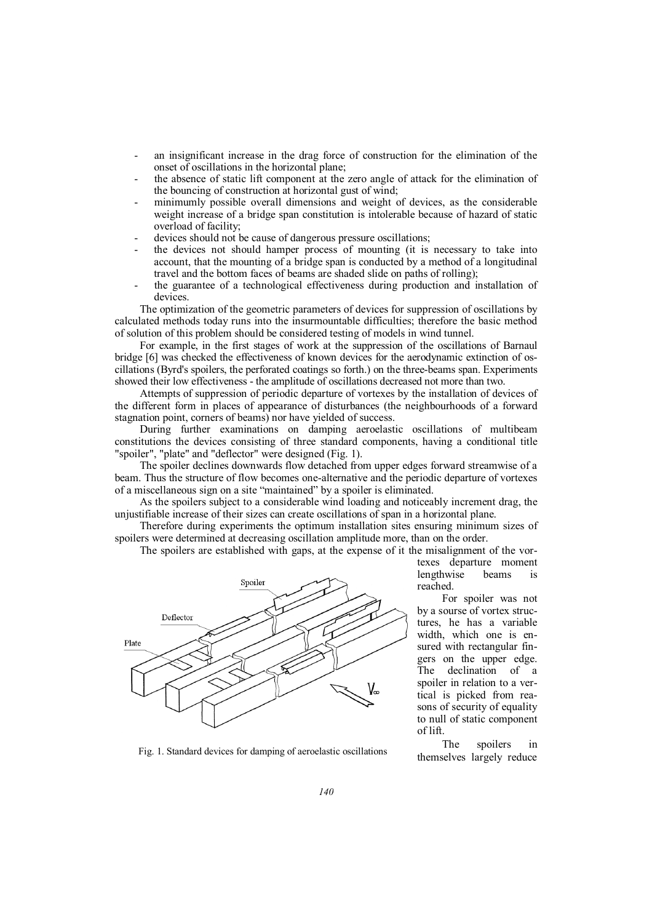- an insignificant increase in the drag force of construction for the elimination of the onset of oscillations in the horizontal plane;
- the absence of static lift component at the zero angle of attack for the elimination of the bouncing of construction at horizontal gust of wind;
- minimumly possible overall dimensions and weight of devices, as the considerable weight increase of a bridge span constitution is intolerable because of hazard of static overload of facility;
- devices should not be cause of dangerous pressure oscillations;
- the devices not should hamper process of mounting (it is necessary to take into account, that the mounting of a bridge span is conducted by a method of a longitudinal travel and the bottom faces of beams are shaded slide on paths of rolling);
- the guarantee of a technological effectiveness during production and installation of devices.

The optimization of the geometric parameters of devices for suppression of oscillations by calculated methods today runs into the insurmountable difficulties; therefore the basic method of solution of this problem should be considered testing of models in wind tunnel.

For example, in the first stages of work at the suppression of the oscillations of Barnaul bridge [6] was checked the effectiveness of known devices for the aerodynamic extinction of oscillations (Byrd's spoilers, the perforated coatings so forth.) on the three-beams span. Experiments showed their low effectiveness - the amplitude of oscillations decreased not more than two.

Attempts of suppression of periodic departure of vortexes by the installation of devices of the different form in places of appearance of disturbances (the neighbourhoods of a forward stagnation point, corners of beams) nor have yielded of success.

During further examinations on damping aeroelastic oscillations of multibeam constitutions the devices consisting of three standard components, having a conditional title "spoiler", "plate" and "deflector" were designed (Fig. 1).

The spoiler declines downwards flow detached from upper edges forward streamwise of a beam. Thus the structure of flow becomes one-alternative and the periodic departure of vortexes of a miscellaneous sign on a site "maintained" by a spoiler is eliminated.

As the spoilers subject to a considerable wind loading and noticeably increment drag, the unjustifiable increase of their sizes can create oscillations of span in a horizontal plane.

Therefore during experiments the optimum installation sites ensuring minimum sizes of spoilers were determined at decreasing oscillation amplitude more, than on the order.

The spoilers are established with gaps, at the expense of it the misalignment of the vor-



Fig. 1. Standard devices for damping of aeroelastic oscillations themselves largely reduce

texes departure moment lengthwise beams is reached.

For spoiler was not by a sourse of vortex structures, he has a variable width, which one is ensured with rectangular fingers on the upper edge. The declination of a spoiler in relation to a vertical is picked from reasons of security of equality to null of static component of lift.

The spoilers in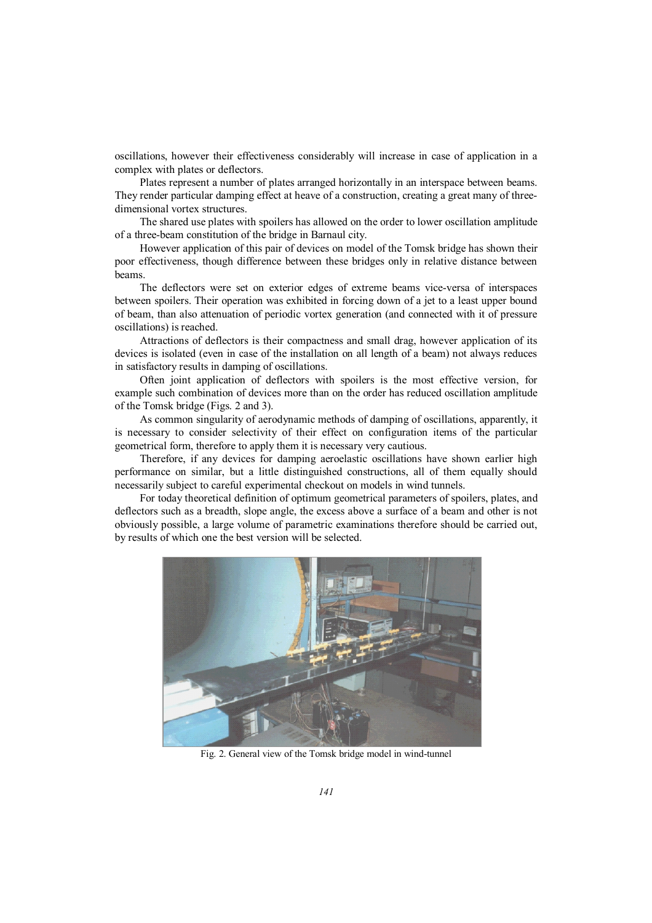oscillations, however their effectiveness considerably will increase in case of application in a complex with plates or deflectors.

Plates represent a number of plates arranged horizontally in an interspace between beams. They render particular damping effect at heave of a construction, creating a great many of threedimensional vortex structures.

The shared use plates with spoilers has allowed on the order to lower oscillation amplitude of a three-beam constitution of the bridge in Barnaul city.

However application of this pair of devices on model of the Tomsk bridge has shown their poor effectiveness, though difference between these bridges only in relative distance between beams.

The deflectors were set on exterior edges of extreme beams vice-versa of interspaces between spoilers. Their operation was exhibited in forcing down of a jet to a least upper bound of beam, than also attenuation of periodic vortex generation (and connected with it of pressure oscillations) is reached.

Attractions of deflectors is their compactness and small drag, however application of its devices is isolated (even in case of the installation on all length of a beam) not always reduces in satisfactory results in damping of oscillations.

Often joint application of deflectors with spoilers is the most effective version, for example such combination of devices more than on the order has reduced oscillation amplitude of the Tomsk bridge (Figs. 2 and 3).

As common singularity of aerodynamic methods of damping of oscillations, apparently, it is necessary to consider selectivity of their effect on configuration items of the particular geometrical form, therefore to apply them it is necessary very cautious.

Therefore, if any devices for damping aeroelastic oscillations have shown earlier high performance on similar, but a little distinguished constructions, all of them equally should necessarily subject to careful experimental checkout on models in wind tunnels.

For today theoretical definition of optimum geometrical parameters of spoilers, plates, and deflectors such as a breadth, slope angle, the excess above a surface of a beam and other is not obviously possible, a large volume of parametric examinations therefore should be carried out, by results of which one the best version will be selected.



Fig. 2. General view of the Tomsk bridge model in wind-tunnel